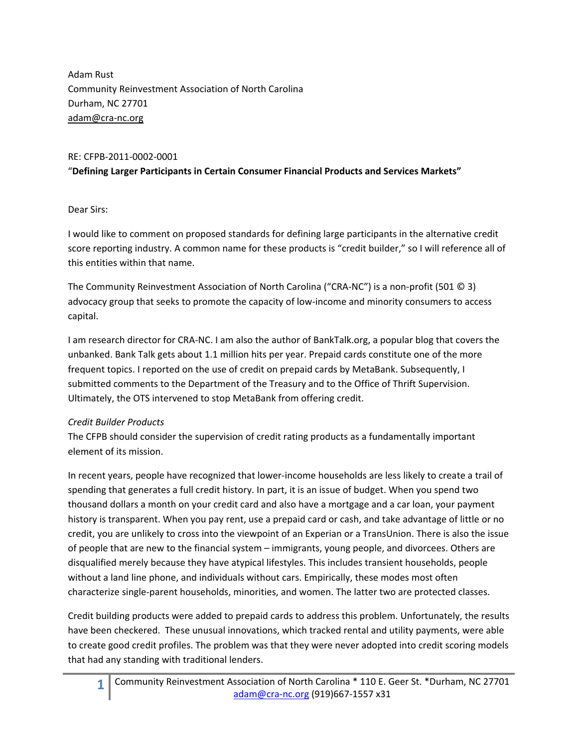Adam Rust Community Reinvestment Association of North Carolina Durham, NC 27701 adam@cra‐nc.org

#### RE: CFPB‐2011‐0002‐0001

## "**Defining Larger Participants in Certain Consumer Financial Products and Services Markets"**

### Dear Sirs:

I would like to comment on proposed standards for defining large participants in the alternative credit score reporting industry. A common name for these products is "credit builder," so I will reference all of this entities within that name.

The Community Reinvestment Association of North Carolina ("CRA‐NC") is a non‐profit (501 © 3) advocacy group that seeks to promote the capacity of low‐income and minority consumers to access capital.

I am research director for CRA‐NC. I am also the author of BankTalk.org, a popular blog that covers the unbanked. Bank Talk gets about 1.1 million hits per year. Prepaid cards constitute one of the more frequent topics. I reported on the use of credit on prepaid cards by MetaBank. Subsequently, I submitted comments to the Department of the Treasury and to the Office of Thrift Supervision. Ultimately, the OTS intervened to stop MetaBank from offering credit.

### *Credit Builder Products*

The CFPB should consider the supervision of credit rating products as a fundamentally important element of its mission.

In recent years, people have recognized that lower-income households are less likely to create a trail of spending that generates a full credit history. In part, it is an issue of budget. When you spend two thousand dollars a month on your credit card and also have a mortgage and a car loan, your payment history is transparent. When you pay rent, use a prepaid card or cash, and take advantage of little or no credit, you are unlikely to cross into the viewpoint of an Experian or a TransUnion. There is also the issue of people that are new to the financial system – immigrants, young people, and divorcees. Others are disqualified merely because they have atypical lifestyles. This includes transient households, people without a land line phone, and individuals without cars. Empirically, these modes most often characterize single‐parent households, minorities, and women. The latter two are protected classes.

Credit building products were added to prepaid cards to address this problem. Unfortunately, the results have been checkered. These unusual innovations, which tracked rental and utility payments, were able to create good credit profiles. The problem was that they were never adopted into credit scoring models that had any standing with traditional lenders.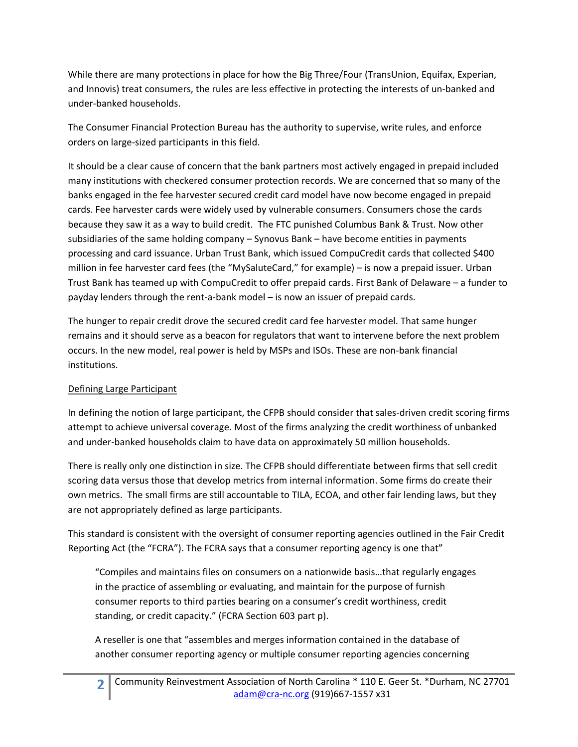While there are many protections in place for how the Big Three/Four (TransUnion, Equifax, Experian, and Innovis) treat consumers, the rules are less effective in protecting the interests of un‐banked and under‐banked households.

The Consumer Financial Protection Bureau has the authority to supervise, write rules, and enforce orders on large‐sized participants in this field.

It should be a clear cause of concern that the bank partners most actively engaged in prepaid included many institutions with checkered consumer protection records. We are concerned that so many of the banks engaged in the fee harvester secured credit card model have now become engaged in prepaid cards. Fee harvester cards were widely used by vulnerable consumers. Consumers chose the cards because they saw it as a way to build credit. The FTC punished Columbus Bank & Trust. Now other subsidiaries of the same holding company – Synovus Bank – have become entities in payments processing and card issuance. Urban Trust Bank, which issued CompuCredit cards that collected \$400 million in fee harvester card fees (the "MySaluteCard," for example) – is now a prepaid issuer. Urban Trust Bank has teamed up with CompuCredit to offer prepaid cards. First Bank of Delaware – a funder to payday lenders through the rent‐a‐bank model – is now an issuer of prepaid cards.

The hunger to repair credit drove the secured credit card fee harvester model. That same hunger remains and it should serve as a beacon for regulators that want to intervene before the next problem occurs. In the new model, real power is held by MSPs and ISOs. These are non‐bank financial institutions.

## Defining Large Participant

In defining the notion of large participant, the CFPB should consider that sales-driven credit scoring firms attempt to achieve universal coverage. Most of the firms analyzing the credit worthiness of unbanked and under‐banked households claim to have data on approximately 50 million households.

There is really only one distinction in size. The CFPB should differentiate between firms that sell credit scoring data versus those that develop metrics from internal information. Some firms do create their own metrics. The small firms are still accountable to TILA, ECOA, and other fair lending laws, but they are not appropriately defined as large participants.

This standard is consistent with the oversight of consumer reporting agencies outlined in the Fair Credit Reporting Act (the "FCRA"). The FCRA says that a consumer reporting agency is one that"

"Compiles and maintains files on consumers on a nationwide basis…that regularly engages in the practice of assembling or evaluating, and maintain for the purpose of furnish consumer reports to third parties bearing on a consumer's credit worthiness, credit standing, or credit capacity." (FCRA Section 603 part p).

A reseller is one that "assembles and merges information contained in the database of another consumer reporting agency or multiple consumer reporting agencies concerning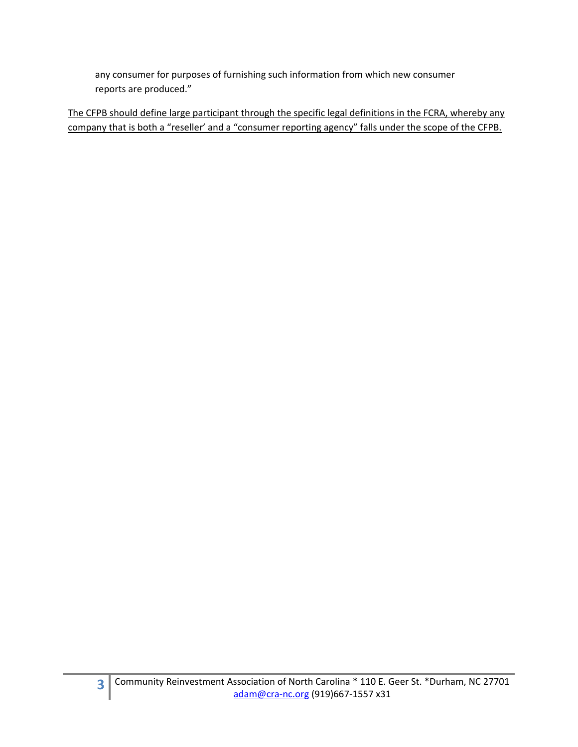any consumer for purposes of furnishing such information from which new consumer reports are produced."

The CFPB should define large participant through the specific legal definitions in the FCRA, whereby any company that is both a "reseller' and a "consumer reporting agency" falls under the scope of the CFPB.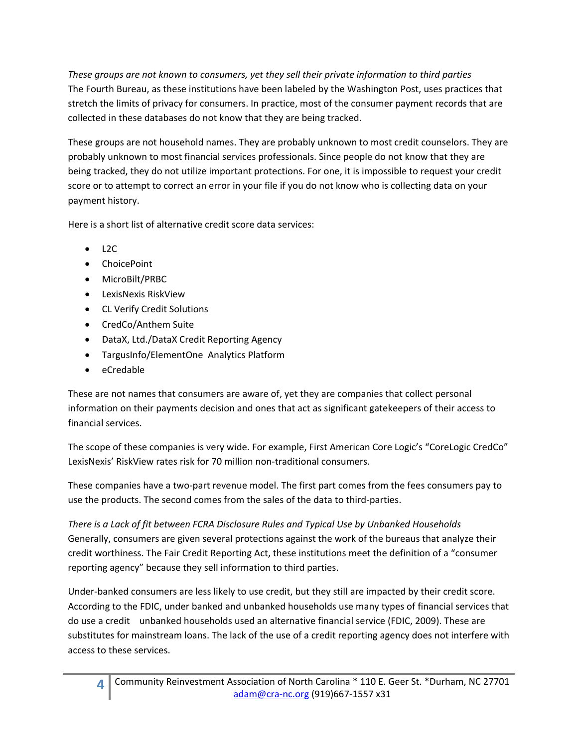*These groups are not known to consumers, yet they sell their private information to third parties* The Fourth Bureau, as these institutions have been labeled by the Washington Post, uses practices that stretch the limits of privacy for consumers. In practice, most of the consumer payment records that are collected in these databases do not know that they are being tracked.

These groups are not household names. They are probably unknown to most credit counselors. They are probably unknown to most financial services professionals. Since people do not know that they are being tracked, they do not utilize important protections. For one, it is impossible to request your credit score or to attempt to correct an error in your file if you do not know who is collecting data on your payment history.

Here is a short list of alternative credit score data services:

- $\bullet$  L2C
- ChoicePoint
- MicroBilt/PRBC
- LexisNexis RiskView
- CL Verify Credit Solutions
- CredCo/Anthem Suite
- DataX, Ltd./DataX Credit Reporting Agency
- TargusInfo/ElementOne Analytics Platform
- eCredable

These are not names that consumers are aware of, yet they are companies that collect personal information on their payments decision and ones that act as significant gatekeepers of their access to financial services.

The scope of these companies is very wide. For example, First American Core Logic's "CoreLogic CredCo" LexisNexis' RiskView rates risk for 70 million non-traditional consumers.

These companies have a two‐part revenue model. The first part comes from the fees consumers pay to use the products. The second comes from the sales of the data to third-parties.

*There is a Lack of fit between FCRA Disclosure Rules and Typical Use by Unbanked Households* Generally, consumers are given several protections against the work of the bureaus that analyze their credit worthiness. The Fair Credit Reporting Act, these institutions meet the definition of a "consumer reporting agency" because they sell information to third parties.

Under‐banked consumers are less likely to use credit, but they still are impacted by their credit score. According to the FDIC, under banked and unbanked households use many types of financial services that do use a credit unbanked households used an alternative financial service (FDIC, 2009). These are substitutes for mainstream loans. The lack of the use of a credit reporting agency does not interfere with access to these services.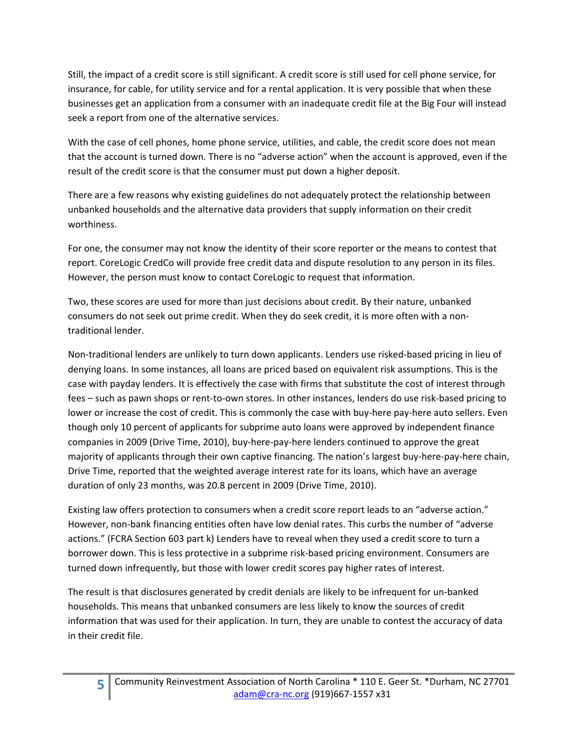Still, the impact of a credit score is still significant. A credit score is still used for cell phone service, for insurance, for cable, for utility service and for a rental application. It is very possible that when these businesses get an application from a consumer with an inadequate credit file at the Big Four will instead seek a report from one of the alternative services.

With the case of cell phones, home phone service, utilities, and cable, the credit score does not mean that the account is turned down. There is no "adverse action" when the account is approved, even if the result of the credit score is that the consumer must put down a higher deposit.

There are a few reasons why existing guidelines do not adequately protect the relationship between unbanked households and the alternative data providers that supply information on their credit worthiness.

For one, the consumer may not know the identity of their score reporter or the means to contest that report. CoreLogic CredCo will provide free credit data and dispute resolution to any person in its files. However, the person must know to contact CoreLogic to request that information.

Two, these scores are used for more than just decisions about credit. By their nature, unbanked consumers do not seek out prime credit. When they do seek credit, it is more often with a non‐ traditional lender.

Non-traditional lenders are unlikely to turn down applicants. Lenders use risked-based pricing in lieu of denying loans. In some instances, all loans are priced based on equivalent risk assumptions. This is the case with payday lenders. It is effectively the case with firms that substitute the cost of interest through fees – such as pawn shops or rent-to-own stores. In other instances, lenders do use risk-based pricing to lower or increase the cost of credit. This is commonly the case with buy-here pay-here auto sellers. Even though only 10 percent of applicants for subprime auto loans were approved by independent finance companies in 2009 (Drive Time, 2010), buy‐here‐pay‐here lenders continued to approve the great majority of applicants through their own captive financing. The nation's largest buy-here-pay-here chain, Drive Time, reported that the weighted average interest rate for its loans, which have an average duration of only 23 months, was 20.8 percent in 2009 (Drive Time, 2010).

Existing law offers protection to consumers when a credit score report leads to an "adverse action." However, non-bank financing entities often have low denial rates. This curbs the number of "adverse actions." (FCRA Section 603 part k) Lenders have to reveal when they used a credit score to turn a borrower down. This is less protective in a subprime risk‐based pricing environment. Consumers are turned down infrequently, but those with lower credit scores pay higher rates of interest.

The result is that disclosures generated by credit denials are likely to be infrequent for un‐banked households. This means that unbanked consumers are less likely to know the sources of credit information that was used for their application. In turn, they are unable to contest the accuracy of data in their credit file.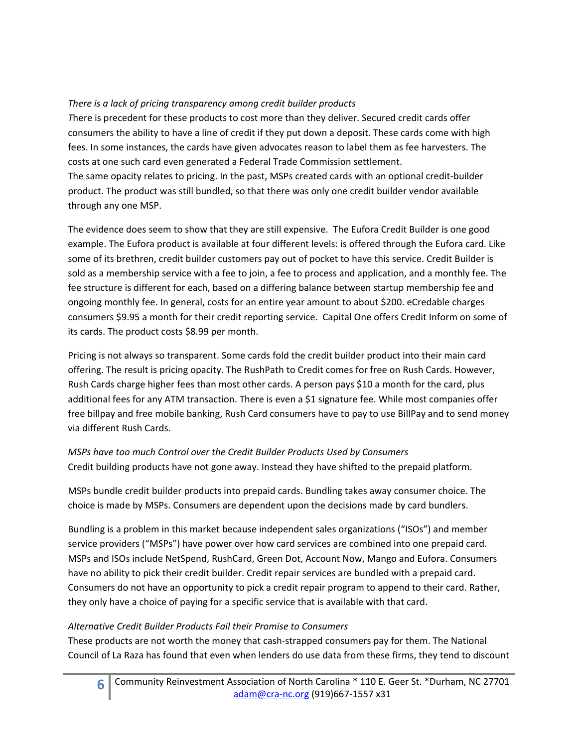# *There is a lack of pricing transparency among credit builder products*

*T*here is precedent for these products to cost more than they deliver. Secured credit cards offer consumers the ability to have a line of credit if they put down a deposit. These cards come with high fees. In some instances, the cards have given advocates reason to label them as fee harvesters. The costs at one such card even generated a Federal Trade Commission settlement. The same opacity relates to pricing. In the past, MSPs created cards with an optional credit‐builder product. The product was still bundled, so that there was only one credit builder vendor available through any one MSP.

The evidence does seem to show that they are still expensive. The Eufora Credit Builder is one good example. The Eufora product is available at four different levels: is offered through the Eufora card. Like some of its brethren, credit builder customers pay out of pocket to have this service. Credit Builder is sold as a membership service with a fee to join, a fee to process and application, and a monthly fee. The fee structure is different for each, based on a differing balance between startup membership fee and ongoing monthly fee. In general, costs for an entire year amount to about \$200. eCredable charges consumers \$9.95 a month for their credit reporting service. Capital One offers Credit Inform on some of its cards. The product costs \$8.99 per month.

Pricing is not always so transparent. Some cards fold the credit builder product into their main card offering. The result is pricing opacity. The RushPath to Credit comes for free on Rush Cards. However, Rush Cards charge higher fees than most other cards. A person pays \$10 a month for the card, plus additional fees for any ATM transaction. There is even a \$1 signature fee. While most companies offer free billpay and free mobile banking, Rush Card consumers have to pay to use BillPay and to send money via different Rush Cards.

## *MSPs have too much Control over the Credit Builder Products Used by Consumers* Credit building products have not gone away. Instead they have shifted to the prepaid platform.

MSPs bundle credit builder products into prepaid cards. Bundling takes away consumer choice. The choice is made by MSPs. Consumers are dependent upon the decisions made by card bundlers.

Bundling is a problem in this market because independent sales organizations ("ISOs") and member service providers ("MSPs") have power over how card services are combined into one prepaid card. MSPs and ISOs include NetSpend, RushCard, Green Dot, Account Now, Mango and Eufora. Consumers have no ability to pick their credit builder. Credit repair services are bundled with a prepaid card. Consumers do not have an opportunity to pick a credit repair program to append to their card. Rather, they only have a choice of paying for a specific service that is available with that card.

## *Alternative Credit Builder Products Fail their Promise to Consumers*

These products are not worth the money that cash‐strapped consumers pay for them. The National Council of La Raza has found that even when lenders do use data from these firms, they tend to discount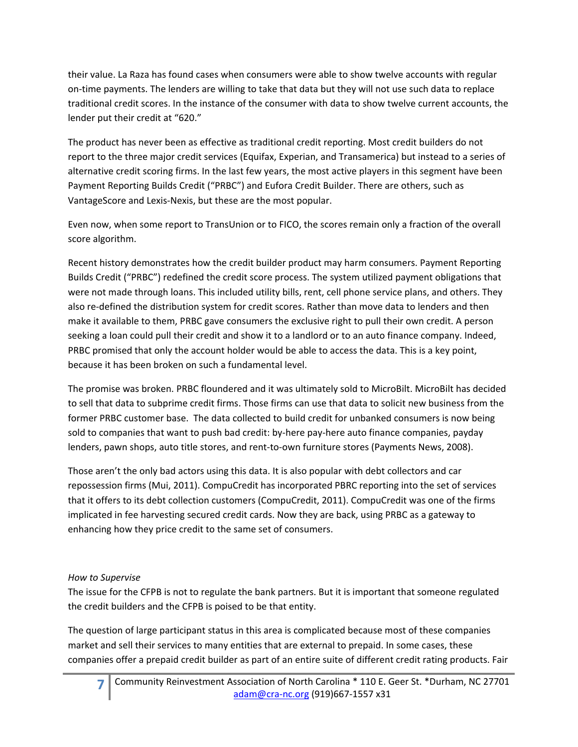their value. La Raza has found cases when consumers were able to show twelve accounts with regular on-time payments. The lenders are willing to take that data but they will not use such data to replace traditional credit scores. In the instance of the consumer with data to show twelve current accounts, the lender put their credit at "620."

The product has never been as effective as traditional credit reporting. Most credit builders do not report to the three major credit services (Equifax, Experian, and Transamerica) but instead to a series of alternative credit scoring firms. In the last few years, the most active players in this segment have been Payment Reporting Builds Credit ("PRBC") and Eufora Credit Builder. There are others, such as VantageScore and Lexis‐Nexis, but these are the most popular.

Even now, when some report to TransUnion or to FICO, the scores remain only a fraction of the overall score algorithm.

Recent history demonstrates how the credit builder product may harm consumers. Payment Reporting Builds Credit ("PRBC") redefined the credit score process. The system utilized payment obligations that were not made through loans. This included utility bills, rent, cell phone service plans, and others. They also re-defined the distribution system for credit scores. Rather than move data to lenders and then make it available to them, PRBC gave consumers the exclusive right to pull their own credit. A person seeking a loan could pull their credit and show it to a landlord or to an auto finance company. Indeed, PRBC promised that only the account holder would be able to access the data. This is a key point, because it has been broken on such a fundamental level.

The promise was broken. PRBC floundered and it was ultimately sold to MicroBilt. MicroBilt has decided to sell that data to subprime credit firms. Those firms can use that data to solicit new business from the former PRBC customer base. The data collected to build credit for unbanked consumers is now being sold to companies that want to push bad credit: by‐here pay‐here auto finance companies, payday lenders, pawn shops, auto title stores, and rent-to-own furniture stores (Payments News, 2008).

Those aren't the only bad actors using this data. It is also popular with debt collectors and car repossession firms (Mui, 2011). CompuCredit has incorporated PBRC reporting into the set of services that it offers to its debt collection customers (CompuCredit, 2011). CompuCredit was one of the firms implicated in fee harvesting secured credit cards. Now they are back, using PRBC as a gateway to enhancing how they price credit to the same set of consumers.

## *How to Supervise*

The issue for the CFPB is not to regulate the bank partners. But it is important that someone regulated the credit builders and the CFPB is poised to be that entity.

The question of large participant status in this area is complicated because most of these companies market and sell their services to many entities that are external to prepaid. In some cases, these companies offer a prepaid credit builder as part of an entire suite of different credit rating products. Fair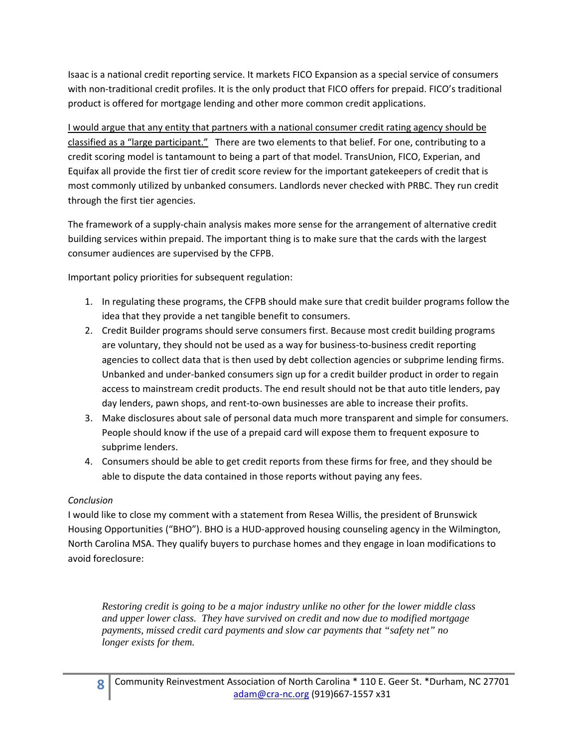Isaac is a national credit reporting service. It markets FICO Expansion as a special service of consumers with non-traditional credit profiles. It is the only product that FICO offers for prepaid. FICO's traditional product is offered for mortgage lending and other more common credit applications.

I would argue that any entity that partners with a national consumer credit rating agency should be classified as a "large participant." There are two elements to that belief. For one, contributing to a credit scoring model is tantamount to being a part of that model. TransUnion, FICO, Experian, and Equifax all provide the first tier of credit score review for the important gatekeepers of credit that is most commonly utilized by unbanked consumers. Landlords never checked with PRBC. They run credit through the first tier agencies.

The framework of a supply‐chain analysis makes more sense for the arrangement of alternative credit building services within prepaid. The important thing is to make sure that the cards with the largest consumer audiences are supervised by the CFPB.

Important policy priorities for subsequent regulation:

- 1. In regulating these programs, the CFPB should make sure that credit builder programs follow the idea that they provide a net tangible benefit to consumers.
- 2. Credit Builder programs should serve consumers first. Because most credit building programs are voluntary, they should not be used as a way for business-to-business credit reporting agencies to collect data that is then used by debt collection agencies or subprime lending firms. Unbanked and under‐banked consumers sign up for a credit builder product in order to regain access to mainstream credit products. The end result should not be that auto title lenders, pay day lenders, pawn shops, and rent-to-own businesses are able to increase their profits.
- 3. Make disclosures about sale of personal data much more transparent and simple for consumers. People should know if the use of a prepaid card will expose them to frequent exposure to subprime lenders.
- 4. Consumers should be able to get credit reports from these firms for free, and they should be able to dispute the data contained in those reports without paying any fees.

## *Conclusion*

I would like to close my comment with a statement from Resea Willis, the president of Brunswick Housing Opportunities ("BHO"). BHO is a HUD‐approved housing counseling agency in the Wilmington, North Carolina MSA. They qualify buyers to purchase homes and they engage in loan modifications to avoid foreclosure:

*Restoring credit is going to be a major industry unlike no other for the lower middle class and upper lower class. They have survived on credit and now due to modified mortgage payments, missed credit card payments and slow car payments that "safety net" no longer exists for them.*